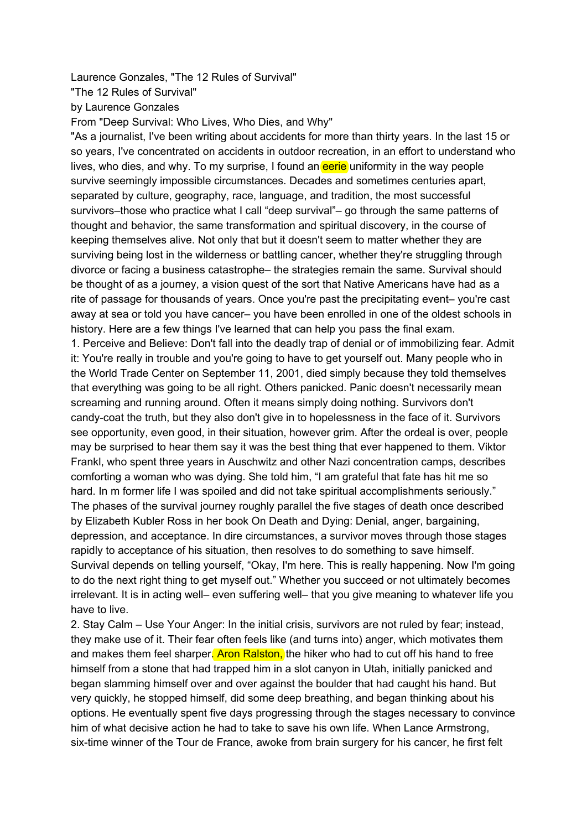Laurence Gonzales, "The 12 Rules of Survival"

"The 12 Rules of Survival"

by Laurence Gonzales

From "Deep Survival: Who Lives, Who Dies, and Why"

"As a journalist, I've been writing about accidents for more than thirty years. In the last 15 or so years, I've concentrated on accidents in outdoor recreation, in an effort to understand who lives, who dies, and why. To my surprise, I found an eerie uniformity in the way people survive seemingly impossible circumstances. Decades and sometimes centuries apart, separated by culture, geography, race, language, and tradition, the most successful survivors–those who practice what I call "deep survival"– go through the same patterns of thought and behavior, the same transformation and spiritual discovery, in the course of keeping themselves alive. Not only that but it doesn't seem to matter whether they are surviving being lost in the wilderness or battling cancer, whether they're struggling through divorce or facing a business catastrophe– the strategies remain the same. Survival should be thought of as a journey, a vision quest of the sort that Native Americans have had as a rite of passage for thousands of years. Once you're past the precipitating event– you're cast away at sea or told you have cancer– you have been enrolled in one of the oldest schools in history. Here are a few things I've learned that can help you pass the final exam.

1. Perceive and Believe: Don't fall into the deadly trap of denial or of immobilizing fear. Admit it: You're really in trouble and you're going to have to get yourself out. Many people who in the World Trade Center on September 11, 2001, died simply because they told themselves that everything was going to be all right. Others panicked. Panic doesn't necessarily mean screaming and running around. Often it means simply doing nothing. Survivors don't candy-coat the truth, but they also don't give in to hopelessness in the face of it. Survivors see opportunity, even good, in their situation, however grim. After the ordeal is over, people may be surprised to hear them say it was the best thing that ever happened to them. Viktor Frankl, who spent three years in Auschwitz and other Nazi concentration camps, describes comforting a woman who was dying. She told him, "I am grateful that fate has hit me so hard. In m former life I was spoiled and did not take spiritual accomplishments seriously." The phases of the survival journey roughly parallel the five stages of death once described by Elizabeth Kubler Ross in her book On Death and Dying: Denial, anger, bargaining, depression, and acceptance. In dire circumstances, a survivor moves through those stages rapidly to acceptance of his situation, then resolves to do something to save himself. Survival depends on telling yourself, "Okay, I'm here. This is really happening. Now I'm going to do the next right thing to get myself out." Whether you succeed or not ultimately becomes irrelevant. It is in acting well– even suffering well– that you give meaning to whatever life you have to live.

2. Stay Calm – Use Your Anger: In the initial crisis, survivors are not ruled by fear; instead, they make use of it. Their fear often feels like (and turns into) anger, which motivates them and makes them feel sharper. Aron Ralston, the hiker who had to cut off his hand to free himself from a stone that had trapped him in a slot canyon in Utah, initially panicked and began slamming himself over and over against the boulder that had caught his hand. But very quickly, he stopped himself, did some deep breathing, and began thinking about his options. He eventually spent five days progressing through the stages necessary to convince him of what decisive action he had to take to save his own life. When Lance Armstrong, six-time winner of the Tour de France, awoke from brain surgery for his cancer, he first felt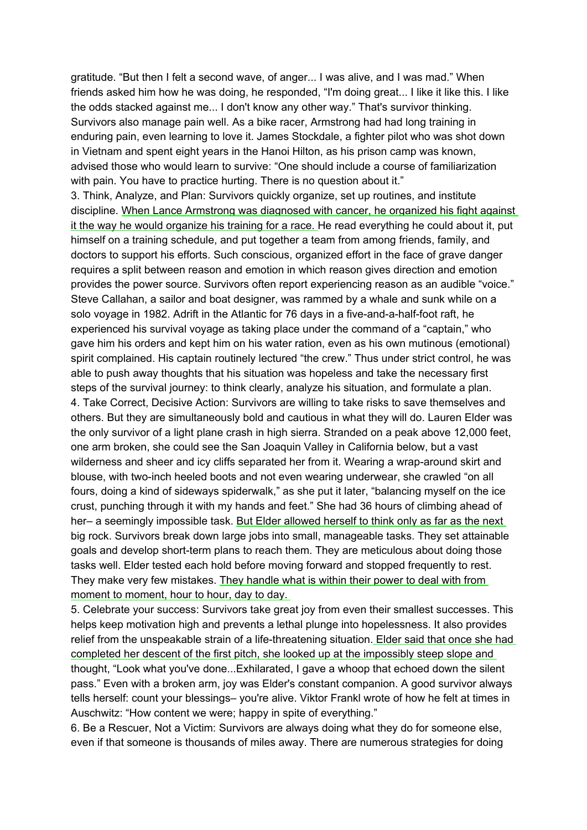gratitude. "But then I felt a second wave, of anger... I was alive, and I was mad." When friends asked him how he was doing, he responded, "I'm doing great... I like it like this. I like the odds stacked against me... I don't know any other way." That's survivor thinking. Survivors also manage pain well. As a bike racer, Armstrong had had long training in enduring pain, even learning to love it. James Stockdale, a fighter pilot who was shot down in Vietnam and spent eight years in the Hanoi Hilton, as his prison camp was known, advised those who would learn to survive: "One should include a course of familiarization with pain. You have to practice hurting. There is no question about it."

3. Think, Analyze, and Plan: Survivors quickly organize, set up routines, and institute discipline. When Lance Armstrong was diagnosed with cancer, he organized his fight against it the way he would organize his training for a race. He read everything he could about it, put himself on a training schedule, and put together a team from among friends, family, and doctors to support his efforts. Such conscious, organized effort in the face of grave danger requires a split between reason and emotion in which reason gives direction and emotion provides the power source. Survivors often report experiencing reason as an audible "voice." Steve Callahan, a sailor and boat designer, was rammed by a whale and sunk while on a solo voyage in 1982. Adrift in the Atlantic for 76 days in a five-and-a-half-foot raft, he experienced his survival voyage as taking place under the command of a "captain," who gave him his orders and kept him on his water ration, even as his own mutinous (emotional) spirit complained. His captain routinely lectured "the crew." Thus under strict control, he was able to push away thoughts that his situation was hopeless and take the necessary first steps of the survival journey: to think clearly, analyze his situation, and formulate a plan. 4. Take Correct, Decisive Action: Survivors are willing to take risks to save themselves and others. But they are simultaneously bold and cautious in what they will do. Lauren Elder was the only survivor of a light plane crash in high sierra. Stranded on a peak above 12,000 feet, one arm broken, she could see the San Joaquin Valley in California below, but a vast wilderness and sheer and icy cliffs separated her from it. Wearing a wrap-around skirt and blouse, with two-inch heeled boots and not even wearing underwear, she crawled "on all fours, doing a kind of sideways spiderwalk," as she put it later, "balancing myself on the ice crust, punching through it with my hands and feet." She had 36 hours of climbing ahead of her– a seemingly impossible task. But Elder allowed herself to think only as far as the next big rock. Survivors break down large jobs into small, manageable tasks. They set attainable goals and develop short-term plans to reach them. They are meticulous about doing those tasks well. Elder tested each hold before moving forward and stopped frequently to rest. They make very few mistakes. They handle what is within their power to deal with from moment to moment, hour to hour, day to day.

5. Celebrate your success: Survivors take great joy from even their smallest successes. This helps keep motivation high and prevents a lethal plunge into hopelessness. It also provides relief from the unspeakable strain of a life-threatening situation. Elder said that once she had completed her descent of the first pitch, she looked up at the impossibly steep slope and thought, "Look what you've done...Exhilarated, I gave a whoop that echoed down the silent pass." Even with a broken arm, joy was Elder's constant companion. A good survivor always tells herself: count your blessings– you're alive. Viktor Frankl wrote of how he felt at times in Auschwitz: "How content we were; happy in spite of everything."

6. Be a Rescuer, Not a Victim: Survivors are always doing what they do for someone else, even if that someone is thousands of miles away. There are numerous strategies for doing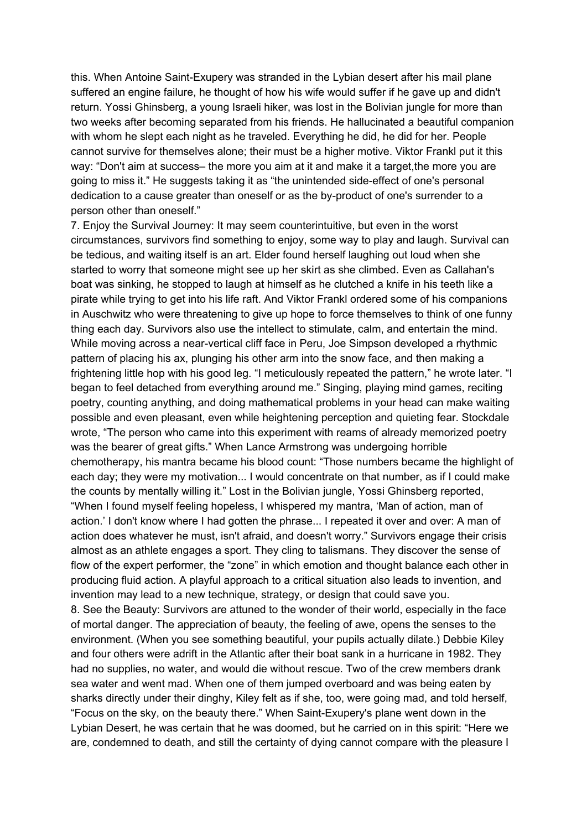this. When Antoine Saint-Exupery was stranded in the Lybian desert after his mail plane suffered an engine failure, he thought of how his wife would suffer if he gave up and didn't return. Yossi Ghinsberg, a young Israeli hiker, was lost in the Bolivian jungle for more than two weeks after becoming separated from his friends. He hallucinated a beautiful companion with whom he slept each night as he traveled. Everything he did, he did for her. People cannot survive for themselves alone; their must be a higher motive. Viktor Frankl put it this way: "Don't aim at success– the more you aim at it and make it a target,the more you are going to miss it." He suggests taking it as "the unintended side-effect of one's personal dedication to a cause greater than oneself or as the by-product of one's surrender to a person other than oneself."

7. Enjoy the Survival Journey: It may seem counterintuitive, but even in the worst circumstances, survivors find something to enjoy, some way to play and laugh. Survival can be tedious, and waiting itself is an art. Elder found herself laughing out loud when she started to worry that someone might see up her skirt as she climbed. Even as Callahan's boat was sinking, he stopped to laugh at himself as he clutched a knife in his teeth like a pirate while trying to get into his life raft. And Viktor Frankl ordered some of his companions in Auschwitz who were threatening to give up hope to force themselves to think of one funny thing each day. Survivors also use the intellect to stimulate, calm, and entertain the mind. While moving across a near-vertical cliff face in Peru, Joe Simpson developed a rhythmic pattern of placing his ax, plunging his other arm into the snow face, and then making a frightening little hop with his good leg. "I meticulously repeated the pattern," he wrote later. "I began to feel detached from everything around me." Singing, playing mind games, reciting poetry, counting anything, and doing mathematical problems in your head can make waiting possible and even pleasant, even while heightening perception and quieting fear. Stockdale wrote, "The person who came into this experiment with reams of already memorized poetry was the bearer of great gifts." When Lance Armstrong was undergoing horrible chemotherapy, his mantra became his blood count: "Those numbers became the highlight of each day; they were my motivation... I would concentrate on that number, as if I could make the counts by mentally willing it." Lost in the Bolivian jungle, Yossi Ghinsberg reported, "When I found myself feeling hopeless, I whispered my mantra, 'Man of action, man of action.' I don't know where I had gotten the phrase... I repeated it over and over: A man of action does whatever he must, isn't afraid, and doesn't worry." Survivors engage their crisis almost as an athlete engages a sport. They cling to talismans. They discover the sense of flow of the expert performer, the "zone" in which emotion and thought balance each other in producing fluid action. A playful approach to a critical situation also leads to invention, and invention may lead to a new technique, strategy, or design that could save you.

8. See the Beauty: Survivors are attuned to the wonder of their world, especially in the face of mortal danger. The appreciation of beauty, the feeling of awe, opens the senses to the environment. (When you see something beautiful, your pupils actually dilate.) Debbie Kiley and four others were adrift in the Atlantic after their boat sank in a hurricane in 1982. They had no supplies, no water, and would die without rescue. Two of the crew members drank sea water and went mad. When one of them jumped overboard and was being eaten by sharks directly under their dinghy, Kiley felt as if she, too, were going mad, and told herself, "Focus on the sky, on the beauty there." When Saint-Exupery's plane went down in the Lybian Desert, he was certain that he was doomed, but he carried on in this spirit: "Here we are, condemned to death, and still the certainty of dying cannot compare with the pleasure I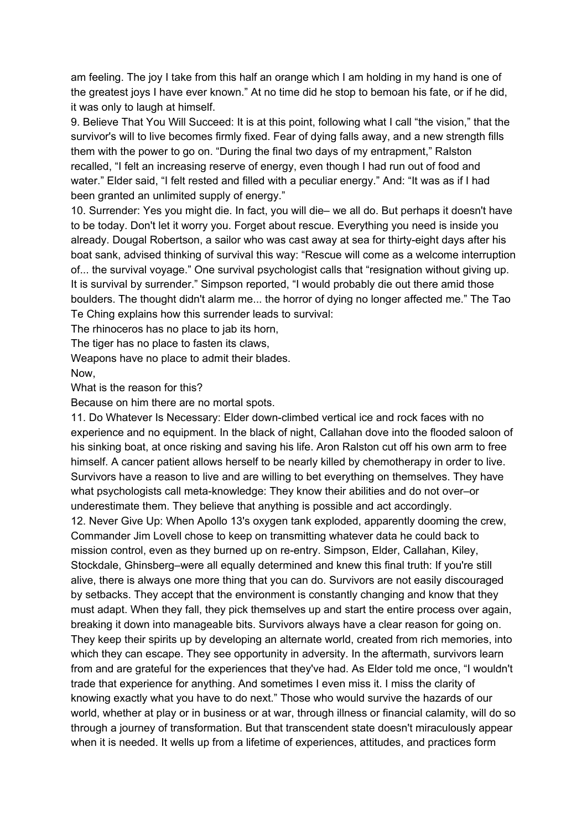am feeling. The joy I take from this half an orange which I am holding in my hand is one of the greatest joys I have ever known." At no time did he stop to bemoan his fate, or if he did, it was only to laugh at himself.

9. Believe That You Will Succeed: It is at this point, following what I call "the vision," that the survivor's will to live becomes firmly fixed. Fear of dying falls away, and a new strength fills them with the power to go on. "During the final two days of my entrapment," Ralston recalled, "I felt an increasing reserve of energy, even though I had run out of food and water." Elder said, "I felt rested and filled with a peculiar energy." And: "It was as if I had been granted an unlimited supply of energy."

10. Surrender: Yes you might die. In fact, you will die– we all do. But perhaps it doesn't have to be today. Don't let it worry you. Forget about rescue. Everything you need is inside you already. Dougal Robertson, a sailor who was cast away at sea for thirty-eight days after his boat sank, advised thinking of survival this way: "Rescue will come as a welcome interruption of... the survival voyage." One survival psychologist calls that "resignation without giving up. It is survival by surrender." Simpson reported, "I would probably die out there amid those boulders. The thought didn't alarm me... the horror of dying no longer affected me." The Tao Te Ching explains how this surrender leads to survival:

The rhinoceros has no place to jab its horn,

The tiger has no place to fasten its claws,

Weapons have no place to admit their blades. Now,

What is the reason for this?

Because on him there are no mortal spots.

11. Do Whatever Is Necessary: Elder down-climbed vertical ice and rock faces with no experience and no equipment. In the black of night, Callahan dove into the flooded saloon of his sinking boat, at once risking and saving his life. Aron Ralston cut off his own arm to free himself. A cancer patient allows herself to be nearly killed by chemotherapy in order to live. Survivors have a reason to live and are willing to bet everything on themselves. They have what psychologists call meta-knowledge: They know their abilities and do not over–or underestimate them. They believe that anything is possible and act accordingly. 12. Never Give Up: When Apollo 13's oxygen tank exploded, apparently dooming the crew, Commander Jim Lovell chose to keep on transmitting whatever data he could back to mission control, even as they burned up on re-entry. Simpson, Elder, Callahan, Kiley, Stockdale, Ghinsberg–were all equally determined and knew this final truth: If you're still alive, there is always one more thing that you can do. Survivors are not easily discouraged by setbacks. They accept that the environment is constantly changing and know that they must adapt. When they fall, they pick themselves up and start the entire process over again, breaking it down into manageable bits. Survivors always have a clear reason for going on. They keep their spirits up by developing an alternate world, created from rich memories, into which they can escape. They see opportunity in adversity. In the aftermath, survivors learn from and are grateful for the experiences that they've had. As Elder told me once, "I wouldn't trade that experience for anything. And sometimes I even miss it. I miss the clarity of knowing exactly what you have to do next." Those who would survive the hazards of our world, whether at play or in business or at war, through illness or financial calamity, will do so through a journey of transformation. But that transcendent state doesn't miraculously appear when it is needed. It wells up from a lifetime of experiences, attitudes, and practices form